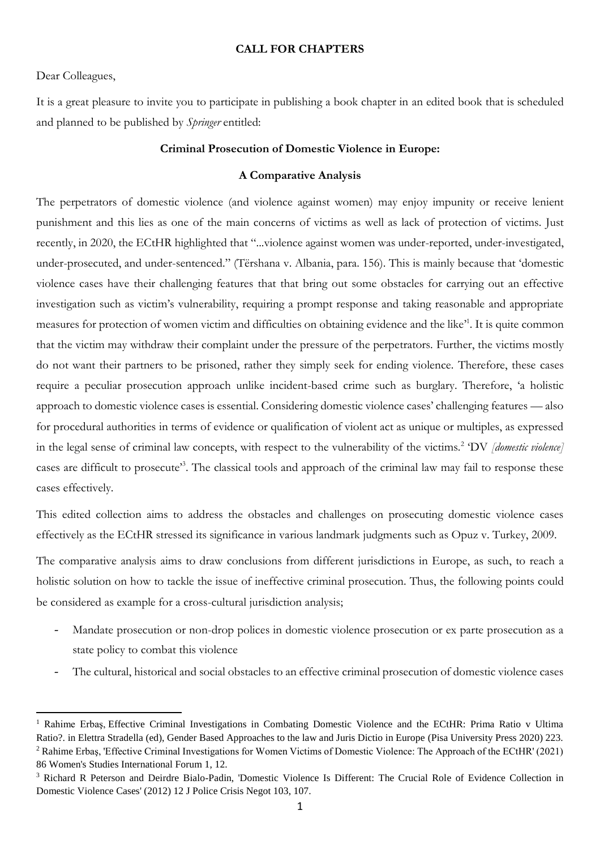## **CALL FOR CHAPTERS**

# Dear Colleagues,

 $\overline{a}$ 

It is a great pleasure to invite you to participate in publishing a book chapter in an edited book that is scheduled and planned to be published by *Springer* entitled:

## **Criminal Prosecution of Domestic Violence in Europe:**

# **A Comparative Analysis**

The perpetrators of domestic violence (and violence against women) may enjoy impunity or receive lenient punishment and this lies as one of the main concerns of victims as well as lack of protection of victims. Just recently, in 2020, the ECtHR highlighted that "...violence against women was under-reported, under-investigated, under-prosecuted, and under-sentenced." (Tërshana v. Albania, para. 156). This is mainly because that 'domestic violence cases have their challenging features that that bring out some obstacles for carrying out an effective investigation such as victim's vulnerability, requiring a prompt response and taking reasonable and appropriate measures for protection of women victim and difficulties on obtaining evidence and the like<sup>1</sup>. It is quite common that the victim may withdraw their complaint under the pressure of the perpetrators. Further, the victims mostly do not want their partners to be prisoned, rather they simply seek for ending violence. Therefore, these cases require a peculiar prosecution approach unlike incident-based crime such as burglary. Therefore, 'a holistic approach to domestic violence cases is essential. Considering domestic violence cases' challenging features — also for procedural authorities in terms of evidence or qualification of violent act as unique or multiples, as expressed in the legal sense of criminal law concepts, with respect to the vulnerability of the victims.<sup>2</sup> 'DV *[domestic violence]* cases are difficult to prosecute<sup>33</sup>. The classical tools and approach of the criminal law may fail to response these cases effectively.

This edited collection aims to address the obstacles and challenges on prosecuting domestic violence cases effectively as the ECtHR stressed its significance in various landmark judgments such as Opuz v. Turkey, 2009.

The comparative analysis aims to draw conclusions from different jurisdictions in Europe, as such, to reach a holistic solution on how to tackle the issue of ineffective criminal prosecution. Thus, the following points could be considered as example for a cross-cultural jurisdiction analysis;

- Mandate prosecution or non-drop polices in domestic violence prosecution or ex parte prosecution as a state policy to combat this violence
- The cultural, historical and social obstacles to an effective criminal prosecution of domestic violence cases

<sup>1</sup> Rahime Erbaş, Effective Criminal Investigations in Combating Domestic Violence and the ECtHR: Prima Ratio v Ultima Ratio?. in Elettra Stradella (ed), Gender Based Approaches to the law and Juris Dictio in Europe (Pisa University Press 2020) 223. <sup>2</sup> Rahime Erbaş, 'Effective Criminal Investigations for Women Victims of Domestic Violence: The Approach of the ECtHR' (2021) 86 Women's Studies International Forum 1, 12.

<sup>3</sup> Richard R Peterson and Deirdre Bialo-Padin, 'Domestic Violence Is Different: The Crucial Role of Evidence Collection in Domestic Violence Cases' (2012) 12 J Police Crisis Negot 103, 107.